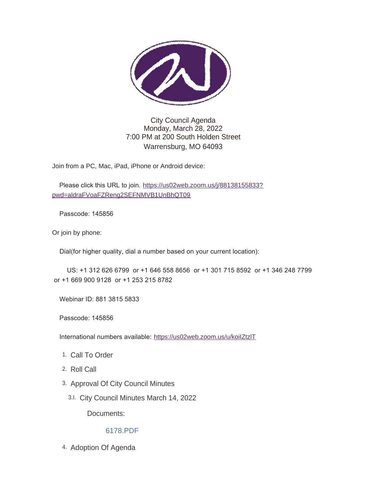

### City Council Agenda Monday, March 28, 2022 7:00 PM at 200 South Holden Street Warrensburg, MO 64093

Join from a PC, Mac, iPad, iPhone or Android device:

Please click this URL to join. [https://us02web.zoom.us/j/88138155833?](https://us02web.zoom.us/j/88138155833?pwd=aldraFVoaFZReng2SEFNMVB1UnBhQT09) pwd=aldraFVoaFZReng2SEFNMVB1UnBhQT09

Passcode: 145856

Or join by phone:

Dial(for higher quality, dial a number based on your current location):

 US: +1 312 626 6799 or +1 646 558 8656 or +1 301 715 8592 or +1 346 248 7799 or +1 669 900 9128 or +1 253 215 8782

Webinar ID: 881 3815 5833

Passcode: 145856

International numbers available: <https://us02web.zoom.us/u/koiIZtzlT>

- 1. Call To Order
- 2. Roll Call
- 3. Approval Of City Council Minutes
	- City Council Minutes March 14, 2022 3.I.

Documents:

#### [6178.PDF](https://www.warrensburg-mo.com/AgendaCenter/ViewFile/Item/6178?fileID=10905)

4. Adoption Of Agenda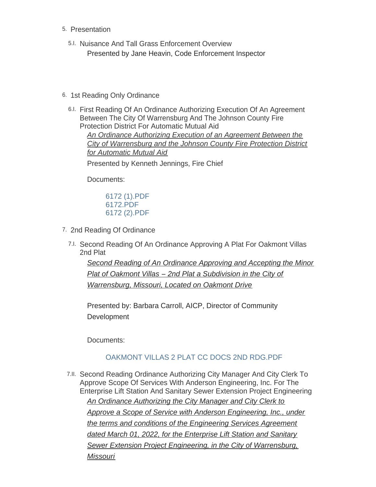- 5. Presentation
	- 5.I. Nuisance And Tall Grass Enforcement Overview Presented by Jane Heavin, Code Enforcement Inspector
- 6. 1st Reading Only Ordinance
	- 6.I. First Reading Of An Ordinance Authorizing Execution Of An Agreement Between The City Of Warrensburg And The Johnson County Fire Protection District For Automatic Mutual Aid *An Ordinance Authorizing Execution of an Agreement Between the City of Warrensburg and the Johnson County Fire Protection District for Automatic Mutual Aid* Presented by Kenneth Jennings, Fire Chief

Documents:

[6172 \(1\).PDF](https://www.warrensburg-mo.com/AgendaCenter/ViewFile/Item/6172?fileID=10907) [6172.PDF](https://www.warrensburg-mo.com/AgendaCenter/ViewFile/Item/6172?fileID=10906) [6172 \(2\).PDF](https://www.warrensburg-mo.com/AgendaCenter/ViewFile/Item/6172?fileID=10908)

- 7. 2nd Reading Of Ordinance
	- 7.I. Second Reading Of An Ordinance Approving A Plat For Oakmont Villas 2nd Plat

*Second Reading of An Ordinance Approving and Accepting the Minor Plat of Oakmont Villas – 2nd Plat a Subdivision in the City of Warrensburg, Missouri, Located on Oakmont Drive*

Presented by: Barbara Carroll, AICP, Director of Community **Development** 

Documents:

# [OAKMONT VILLAS 2 PLAT CC DOCS 2ND RDG.PDF](https://www.warrensburg-mo.com/AgendaCenter/ViewFile/Item/5934?fileID=10898)

7.II. Second Reading Ordinance Authorizing City Manager And City Clerk To Approve Scope Of Services With Anderson Engineering, Inc. For The Enterprise Lift Station And Sanitary Sewer Extension Project Engineering *An Ordinance Authorizing the City Manager and City Clerk to Approve a Scope of Service with Anderson Engineering, Inc., under the terms and conditions of the Engineering Services Agreement dated March 01, 2022, for the Enterprise Lift Station and Sanitary Sewer Extension Project Engineering, in the City of Warrensburg, Missouri*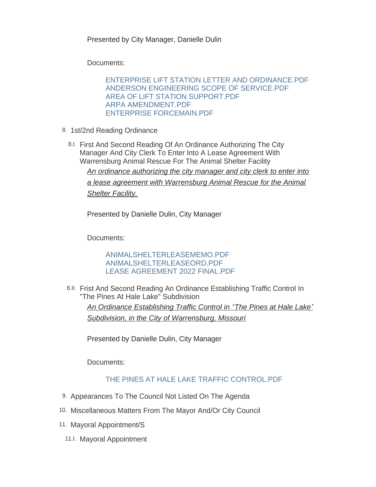Presented by City Manager, Danielle Dulin

Documents:

[ENTERPRISE LIFT STATION LETTER AND ORDINANCE.PDF](https://www.warrensburg-mo.com/AgendaCenter/ViewFile/Item/6175?fileID=10884) [ANDERSON ENGINEERING SCOPE OF SERVICE.PDF](https://www.warrensburg-mo.com/AgendaCenter/ViewFile/Item/6175?fileID=10885) [AREA OF LIFT STATION SUPPORT.PDF](https://www.warrensburg-mo.com/AgendaCenter/ViewFile/Item/6175?fileID=10886) [ARPA AMENDMENT.PDF](https://www.warrensburg-mo.com/AgendaCenter/ViewFile/Item/6175?fileID=10887) [ENTERPRISE FORCEMAIN.PDF](https://www.warrensburg-mo.com/AgendaCenter/ViewFile/Item/6175?fileID=10888)

- 8. 1st/2nd Reading Ordinance
	- 8.I. First And Second Reading Of An Ordinance Authorizing The City Manager And City Clerk To Enter Into A Lease Agreement With Warrensburg Animal Rescue For The Animal Shelter Facility *An ordinance authorizing the city manager and city clerk to enter into a lease agreement with Warrensburg Animal Rescue for the Animal Shelter Facility.*

Presented by Danielle Dulin, City Manager

Documents:

[ANIMALSHELTERLEASEMEMO.PDF](https://www.warrensburg-mo.com/AgendaCenter/ViewFile/Item/6147?fileID=10903) [ANIMALSHELTERLEASEORD.PDF](https://www.warrensburg-mo.com/AgendaCenter/ViewFile/Item/6147?fileID=10902) [LEASE AGREEMENT 2022 FINAL.PDF](https://www.warrensburg-mo.com/AgendaCenter/ViewFile/Item/6147?fileID=10904)

8.II. Frist And Second Reading An Ordinance Establishing Traffic Control In "The Pines At Hale Lake" Subdivision *An Ordinance Establishing Traffic Control in "The Pines at Hale Lake" Subdivision, in the City of Warrensburg, Missouri*

Presented by Danielle Dulin, City Manager

Documents:

## [THE PINES AT HALE LAKE TRAFFIC CONTROL.PDF](https://www.warrensburg-mo.com/AgendaCenter/ViewFile/Item/6173?fileID=10889)

- 9. Appearances To The Council Not Listed On The Agenda
- 10. Miscellaneous Matters From The Mayor And/Or City Council
- 11. Mayoral Appointment/S
	- 11.I. Mayoral Appointment